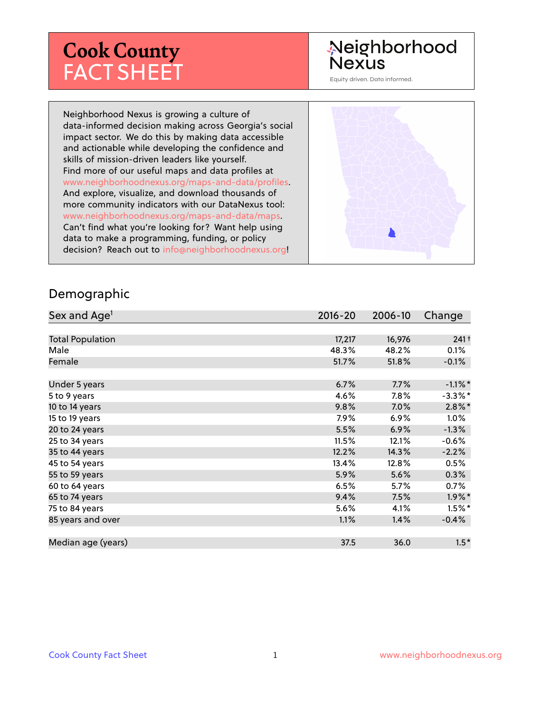# **Cook County** FACT SHEET

# Neighborhood **Nexus**

Equity driven. Data informed.

Neighborhood Nexus is growing a culture of data-informed decision making across Georgia's social impact sector. We do this by making data accessible and actionable while developing the confidence and skills of mission-driven leaders like yourself. Find more of our useful maps and data profiles at www.neighborhoodnexus.org/maps-and-data/profiles. And explore, visualize, and download thousands of more community indicators with our DataNexus tool: www.neighborhoodnexus.org/maps-and-data/maps. Can't find what you're looking for? Want help using data to make a programming, funding, or policy decision? Reach out to [info@neighborhoodnexus.org!](mailto:info@neighborhoodnexus.org)



#### Demographic

| Sex and Age <sup>1</sup> | $2016 - 20$ | 2006-10 | Change               |
|--------------------------|-------------|---------|----------------------|
|                          |             |         |                      |
| <b>Total Population</b>  | 17,217      | 16,976  | 241 <sup>†</sup>     |
| Male                     | 48.3%       | 48.2%   | 0.1%                 |
| Female                   | 51.7%       | 51.8%   | $-0.1\%$             |
|                          |             |         |                      |
| Under 5 years            | 6.7%        | 7.7%    | $-1.1\%$ *           |
| 5 to 9 years             | 4.6%        | $7.8\%$ | $-3.3%$ *            |
| 10 to 14 years           | 9.8%        | 7.0%    | $2.8\%$ *            |
| 15 to 19 years           | 7.9%        | $6.9\%$ | 1.0%                 |
| 20 to 24 years           | 5.5%        | 6.9%    | $-1.3%$              |
| 25 to 34 years           | 11.5%       | 12.1%   | $-0.6%$              |
| 35 to 44 years           | 12.2%       | 14.3%   | $-2.2%$              |
| 45 to 54 years           | 13.4%       | 12.8%   | 0.5%                 |
| 55 to 59 years           | 5.9%        | 5.6%    | 0.3%                 |
| 60 to 64 years           | 6.5%        | 5.7%    | 0.7%                 |
| 65 to 74 years           | 9.4%        | 7.5%    | $1.9\%$ <sup>*</sup> |
| 75 to 84 years           | 5.6%        | 4.1%    | $1.5\%$ *            |
| 85 years and over        | 1.1%        | 1.4%    | $-0.4%$              |
|                          |             |         |                      |
| Median age (years)       | 37.5        | 36.0    | $1.5*$               |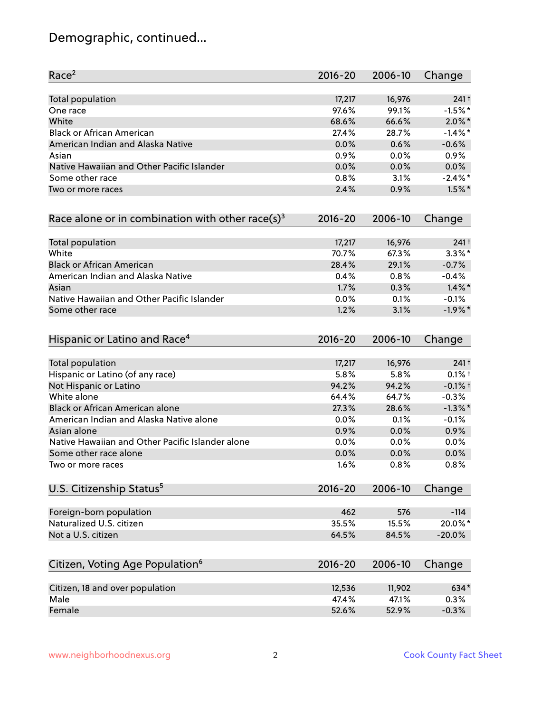# Demographic, continued...

| Race <sup>2</sup>                                            | $2016 - 20$ | 2006-10 | Change           |
|--------------------------------------------------------------|-------------|---------|------------------|
| <b>Total population</b>                                      | 17,217      | 16,976  | 241 <sup>†</sup> |
| One race                                                     | 97.6%       | 99.1%   | $-1.5%$ *        |
| White                                                        | 68.6%       | 66.6%   | $2.0\%$ *        |
| <b>Black or African American</b>                             | 27.4%       | 28.7%   | $-1.4\%$ *       |
| American Indian and Alaska Native                            | 0.0%        | 0.6%    | $-0.6%$          |
| Asian                                                        | 0.9%        | 0.0%    | 0.9%             |
| Native Hawaiian and Other Pacific Islander                   | 0.0%        | 0.0%    | 0.0%             |
| Some other race                                              | 0.8%        | 3.1%    | $-2.4\%$ *       |
| Two or more races                                            | 2.4%        | 0.9%    | $1.5\%$ *        |
| Race alone or in combination with other race(s) <sup>3</sup> | $2016 - 20$ | 2006-10 | Change           |
| Total population                                             | 17,217      | 16,976  | 241 <sup>†</sup> |
| White                                                        | 70.7%       | 67.3%   | $3.3\%$ *        |
| <b>Black or African American</b>                             | 28.4%       | 29.1%   | $-0.7%$          |
| American Indian and Alaska Native                            | 0.4%        | 0.8%    | $-0.4%$          |
| Asian                                                        | 1.7%        | 0.3%    | $1.4\%$ *        |
| Native Hawaiian and Other Pacific Islander                   | 0.0%        | 0.1%    | $-0.1%$          |
| Some other race                                              | 1.2%        | 3.1%    | $-1.9%$ *        |
| Hispanic or Latino and Race <sup>4</sup>                     | $2016 - 20$ | 2006-10 | Change           |
| <b>Total population</b>                                      | 17,217      | 16,976  | 241 <sup>†</sup> |
| Hispanic or Latino (of any race)                             | 5.8%        | 5.8%    | $0.1\%$ t        |
| Not Hispanic or Latino                                       | 94.2%       | 94.2%   | $-0.1%$ †        |
| White alone                                                  | 64.4%       | 64.7%   | $-0.3%$          |
| Black or African American alone                              | 27.3%       | 28.6%   | $-1.3\%$ *       |
| American Indian and Alaska Native alone                      | $0.0\%$     | 0.1%    | $-0.1%$          |
| Asian alone                                                  | 0.9%        | 0.0%    | 0.9%             |
| Native Hawaiian and Other Pacific Islander alone             | 0.0%        | 0.0%    | 0.0%             |
| Some other race alone                                        | 0.0%        | 0.0%    | 0.0%             |
| Two or more races                                            | 1.6%        | 0.8%    | 0.8%             |
| U.S. Citizenship Status <sup>5</sup>                         | $2016 - 20$ | 2006-10 | Change           |
| Foreign-born population                                      | 462         | 576     | $-114$           |
| Naturalized U.S. citizen                                     | 35.5%       | 15.5%   | 20.0%*           |
| Not a U.S. citizen                                           | 64.5%       | 84.5%   | $-20.0%$         |
| Citizen, Voting Age Population <sup>6</sup>                  | $2016 - 20$ | 2006-10 | Change           |
|                                                              |             |         |                  |
| Citizen, 18 and over population                              | 12,536      | 11,902  | 634*             |
| Male                                                         | 47.4%       | 47.1%   | 0.3%             |
| Female                                                       | 52.6%       | 52.9%   | $-0.3%$          |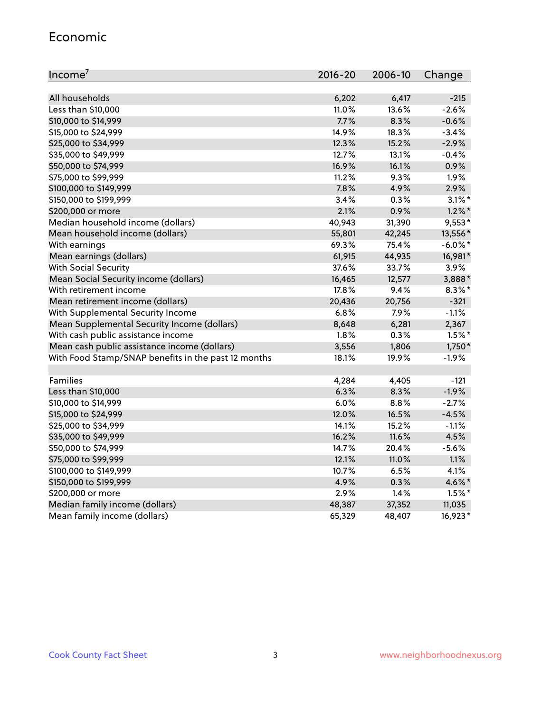#### Economic

| Income <sup>7</sup>                                 | $2016 - 20$ | 2006-10 | Change     |
|-----------------------------------------------------|-------------|---------|------------|
|                                                     |             |         |            |
| All households                                      | 6,202       | 6,417   | $-215$     |
| Less than \$10,000                                  | 11.0%       | 13.6%   | $-2.6%$    |
| \$10,000 to \$14,999                                | 7.7%        | 8.3%    | $-0.6%$    |
| \$15,000 to \$24,999                                | 14.9%       | 18.3%   | $-3.4%$    |
| \$25,000 to \$34,999                                | 12.3%       | 15.2%   | $-2.9%$    |
| \$35,000 to \$49,999                                | 12.7%       | 13.1%   | $-0.4%$    |
| \$50,000 to \$74,999                                | 16.9%       | 16.1%   | 0.9%       |
| \$75,000 to \$99,999                                | 11.2%       | 9.3%    | 1.9%       |
| \$100,000 to \$149,999                              | 7.8%        | 4.9%    | 2.9%       |
| \$150,000 to \$199,999                              | 3.4%        | 0.3%    | $3.1\%$ *  |
| \$200,000 or more                                   | 2.1%        | 0.9%    | $1.2\%$ *  |
| Median household income (dollars)                   | 40,943      | 31,390  | $9,553*$   |
| Mean household income (dollars)                     | 55,801      | 42,245  | 13,556*    |
| With earnings                                       | 69.3%       | 75.4%   | $-6.0\%$ * |
| Mean earnings (dollars)                             | 61,915      | 44,935  | 16,981*    |
| <b>With Social Security</b>                         | 37.6%       | 33.7%   | 3.9%       |
| Mean Social Security income (dollars)               | 16,465      | 12,577  | 3,888*     |
| With retirement income                              | 17.8%       | 9.4%    | $8.3\%$ *  |
| Mean retirement income (dollars)                    | 20,436      | 20,756  | $-321$     |
| With Supplemental Security Income                   | $6.8\%$     | 7.9%    | $-1.1%$    |
| Mean Supplemental Security Income (dollars)         | 8,648       | 6,281   | 2,367      |
| With cash public assistance income                  | 1.8%        | 0.3%    | $1.5%$ *   |
| Mean cash public assistance income (dollars)        | 3,556       | 1,806   | $1,750*$   |
| With Food Stamp/SNAP benefits in the past 12 months | 18.1%       | 19.9%   | $-1.9%$    |
|                                                     |             |         |            |
| Families                                            | 4,284       | 4,405   | $-121$     |
| Less than \$10,000                                  | 6.3%        | 8.3%    | $-1.9%$    |
| \$10,000 to \$14,999                                | 6.0%        | 8.8%    | $-2.7%$    |
| \$15,000 to \$24,999                                | 12.0%       | 16.5%   | $-4.5%$    |
| \$25,000 to \$34,999                                | 14.1%       | 15.2%   | $-1.1%$    |
| \$35,000 to \$49,999                                | 16.2%       | 11.6%   | 4.5%       |
| \$50,000 to \$74,999                                | 14.7%       | 20.4%   | $-5.6%$    |
| \$75,000 to \$99,999                                | 12.1%       | 11.0%   | 1.1%       |
| \$100,000 to \$149,999                              | 10.7%       | 6.5%    | 4.1%       |
| \$150,000 to \$199,999                              | 4.9%        | 0.3%    | 4.6%*      |
| \$200,000 or more                                   | 2.9%        | 1.4%    | $1.5\%$ *  |
| Median family income (dollars)                      | 48,387      | 37,352  | 11,035     |
| Mean family income (dollars)                        | 65,329      | 48,407  | 16,923*    |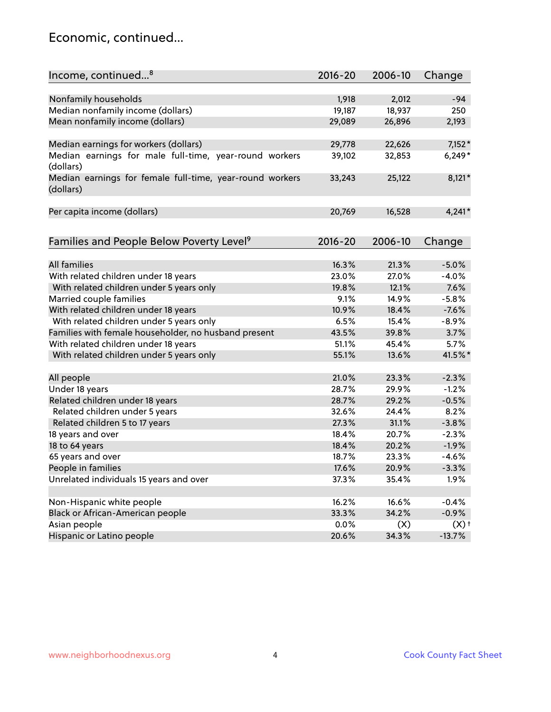### Economic, continued...

| Income, continued <sup>8</sup>                           | $2016 - 20$ | 2006-10 | Change   |
|----------------------------------------------------------|-------------|---------|----------|
|                                                          |             |         |          |
| Nonfamily households                                     | 1,918       | 2,012   | $-94$    |
| Median nonfamily income (dollars)                        | 19,187      | 18,937  | 250      |
| Mean nonfamily income (dollars)                          | 29,089      | 26,896  | 2,193    |
|                                                          |             |         |          |
| Median earnings for workers (dollars)                    | 29,778      | 22,626  | $7,152*$ |
| Median earnings for male full-time, year-round workers   | 39,102      | 32,853  | $6,249*$ |
| (dollars)                                                |             |         |          |
| Median earnings for female full-time, year-round workers | 33,243      | 25,122  | $8,121*$ |
| (dollars)                                                |             |         |          |
|                                                          |             |         |          |
| Per capita income (dollars)                              | 20,769      | 16,528  | $4,241*$ |
|                                                          |             |         |          |
| Families and People Below Poverty Level <sup>9</sup>     | $2016 - 20$ | 2006-10 | Change   |
|                                                          |             |         |          |
| <b>All families</b>                                      | 16.3%       | 21.3%   | $-5.0%$  |
| With related children under 18 years                     | 23.0%       | 27.0%   | $-4.0%$  |
| With related children under 5 years only                 | 19.8%       | 12.1%   | 7.6%     |
| Married couple families                                  | 9.1%        | 14.9%   | $-5.8%$  |
| With related children under 18 years                     | 10.9%       | 18.4%   | $-7.6%$  |
| With related children under 5 years only                 | 6.5%        | 15.4%   | $-8.9%$  |
| Families with female householder, no husband present     | 43.5%       | 39.8%   | 3.7%     |
| With related children under 18 years                     | 51.1%       | 45.4%   | 5.7%     |
| With related children under 5 years only                 | 55.1%       | 13.6%   | 41.5%*   |
|                                                          |             |         |          |
| All people                                               | 21.0%       | 23.3%   | $-2.3%$  |
| Under 18 years                                           | 28.7%       | 29.9%   | $-1.2%$  |
| Related children under 18 years                          | 28.7%       | 29.2%   | $-0.5%$  |
| Related children under 5 years                           | 32.6%       | 24.4%   | 8.2%     |
| Related children 5 to 17 years                           | 27.3%       | 31.1%   | $-3.8%$  |
| 18 years and over                                        | 18.4%       | 20.7%   | $-2.3%$  |
| 18 to 64 years                                           | 18.4%       | 20.2%   | $-1.9%$  |
| 65 years and over                                        | 18.7%       | 23.3%   | $-4.6%$  |
| People in families                                       | 17.6%       | 20.9%   | $-3.3%$  |
| Unrelated individuals 15 years and over                  | 37.3%       | 35.4%   | 1.9%     |
|                                                          |             |         |          |
| Non-Hispanic white people                                | 16.2%       | 16.6%   | $-0.4%$  |
| Black or African-American people                         | 33.3%       | 34.2%   | $-0.9%$  |
| Asian people                                             | 0.0%        | (X)     | $(X)$ +  |
| Hispanic or Latino people                                | 20.6%       | 34.3%   | $-13.7%$ |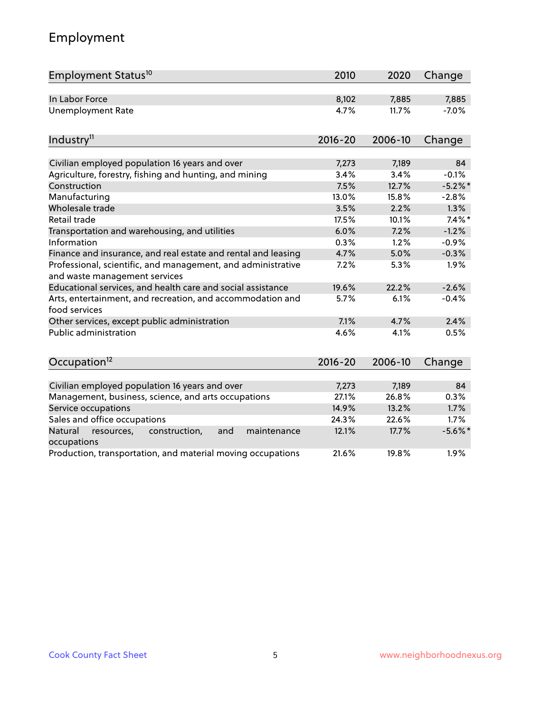# Employment

| Employment Status <sup>10</sup>                                                               | 2010        | 2020    | Change     |
|-----------------------------------------------------------------------------------------------|-------------|---------|------------|
| In Labor Force                                                                                | 8,102       | 7,885   | 7,885      |
| <b>Unemployment Rate</b>                                                                      | 4.7%        | 11.7%   | $-7.0%$    |
| Industry <sup>11</sup>                                                                        | $2016 - 20$ | 2006-10 | Change     |
|                                                                                               |             |         |            |
| Civilian employed population 16 years and over                                                | 7,273       | 7,189   | 84         |
| Agriculture, forestry, fishing and hunting, and mining                                        | 3.4%        | 3.4%    | $-0.1%$    |
| Construction                                                                                  | 7.5%        | 12.7%   | $-5.2\%$ * |
| Manufacturing                                                                                 | 13.0%       | 15.8%   | $-2.8%$    |
| Wholesale trade                                                                               | 3.5%        | 2.2%    | 1.3%       |
| Retail trade                                                                                  | 17.5%       | 10.1%   | $7.4\%$ *  |
| Transportation and warehousing, and utilities                                                 | 6.0%        | 7.2%    | $-1.2%$    |
| Information                                                                                   | 0.3%        | 1.2%    | $-0.9%$    |
| Finance and insurance, and real estate and rental and leasing                                 | 4.7%        | 5.0%    | $-0.3%$    |
| Professional, scientific, and management, and administrative<br>and waste management services | 7.2%        | 5.3%    | 1.9%       |
| Educational services, and health care and social assistance                                   | 19.6%       | 22.2%   | $-2.6%$    |
| Arts, entertainment, and recreation, and accommodation and<br>food services                   | 5.7%        | 6.1%    | $-0.4%$    |
| Other services, except public administration                                                  | 7.1%        | 4.7%    | 2.4%       |
| Public administration                                                                         | 4.6%        | 4.1%    | 0.5%       |
| Occupation <sup>12</sup>                                                                      | $2016 - 20$ | 2006-10 | Change     |
|                                                                                               |             |         |            |
| Civilian employed population 16 years and over                                                | 7,273       | 7,189   | 84         |
| Management, business, science, and arts occupations                                           | 27.1%       | 26.8%   | 0.3%       |
| Service occupations                                                                           | 14.9%       | 13.2%   | 1.7%       |
| Sales and office occupations                                                                  | 24.3%       | 22.6%   | 1.7%       |
| Natural<br>and<br>maintenance<br>resources,<br>construction,<br>occupations                   | 12.1%       | 17.7%   | $-5.6\%$ * |
| Production, transportation, and material moving occupations                                   | 21.6%       | 19.8%   | 1.9%       |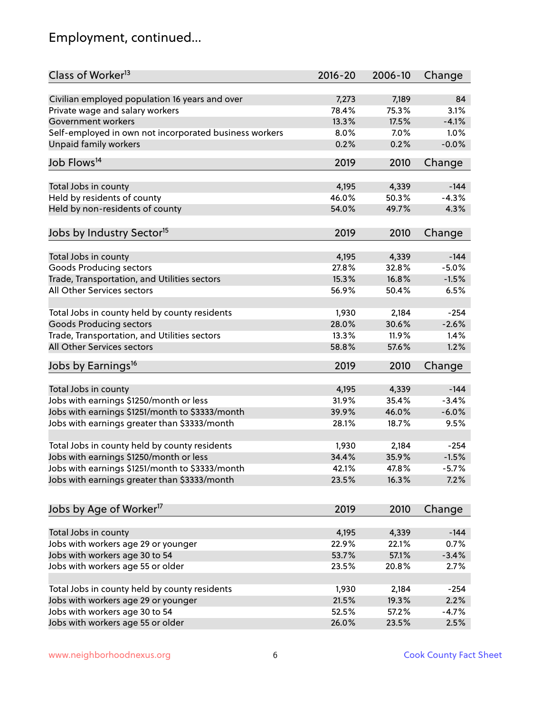# Employment, continued...

| Class of Worker <sup>13</sup>                          | $2016 - 20$ | 2006-10 | Change   |
|--------------------------------------------------------|-------------|---------|----------|
| Civilian employed population 16 years and over         | 7,273       | 7,189   | 84       |
| Private wage and salary workers                        | 78.4%       | 75.3%   | 3.1%     |
| Government workers                                     | 13.3%       | 17.5%   | $-4.1%$  |
| Self-employed in own not incorporated business workers | 8.0%        | 7.0%    | 1.0%     |
| <b>Unpaid family workers</b>                           | 0.2%        | 0.2%    | $-0.0%$  |
|                                                        |             |         |          |
| Job Flows <sup>14</sup>                                | 2019        | 2010    | Change   |
| Total Jobs in county                                   | 4,195       | 4,339   | $-144$   |
| Held by residents of county                            | 46.0%       | 50.3%   | $-4.3%$  |
|                                                        | 54.0%       | 49.7%   | 4.3%     |
| Held by non-residents of county                        |             |         |          |
| Jobs by Industry Sector <sup>15</sup>                  | 2019        | 2010    | Change   |
| Total Jobs in county                                   | 4,195       | 4,339   | $-144$   |
| Goods Producing sectors                                | 27.8%       | 32.8%   | $-5.0%$  |
| Trade, Transportation, and Utilities sectors           | 15.3%       | 16.8%   | $-1.5%$  |
| All Other Services sectors                             | 56.9%       | 50.4%   | 6.5%     |
|                                                        |             |         |          |
| Total Jobs in county held by county residents          | 1,930       | 2,184   | $-254$   |
| <b>Goods Producing sectors</b>                         | 28.0%       | 30.6%   | $-2.6%$  |
| Trade, Transportation, and Utilities sectors           | 13.3%       | 11.9%   | 1.4%     |
| All Other Services sectors                             | 58.8%       | 57.6%   | 1.2%     |
| Jobs by Earnings <sup>16</sup>                         | 2019        | 2010    | Change   |
|                                                        |             |         |          |
| Total Jobs in county                                   | 4,195       | 4,339   | $-144$   |
| Jobs with earnings \$1250/month or less                | 31.9%       | 35.4%   | $-3.4%$  |
| Jobs with earnings \$1251/month to \$3333/month        | 39.9%       | 46.0%   | $-6.0%$  |
| Jobs with earnings greater than \$3333/month           | 28.1%       | 18.7%   | 9.5%     |
| Total Jobs in county held by county residents          | 1,930       | 2,184   | $-254$   |
| Jobs with earnings \$1250/month or less                | 34.4%       | 35.9%   | $-1.5%$  |
| Jobs with earnings \$1251/month to \$3333/month        | 42.1%       | 47.8%   | $-5.7\%$ |
| Jobs with earnings greater than \$3333/month           | 23.5%       | 16.3%   | 7.2%     |
|                                                        |             |         |          |
| Jobs by Age of Worker <sup>17</sup>                    | 2019        | 2010    | Change   |
| Total Jobs in county                                   | 4,195       | 4,339   | $-144$   |
| Jobs with workers age 29 or younger                    | 22.9%       | 22.1%   | 0.7%     |
| Jobs with workers age 30 to 54                         | 53.7%       | 57.1%   | $-3.4%$  |
| Jobs with workers age 55 or older                      | 23.5%       | 20.8%   | 2.7%     |
|                                                        |             |         |          |
| Total Jobs in county held by county residents          | 1,930       | 2,184   | $-254$   |
| Jobs with workers age 29 or younger                    | 21.5%       | 19.3%   | 2.2%     |
| Jobs with workers age 30 to 54                         | 52.5%       | 57.2%   | $-4.7%$  |
| Jobs with workers age 55 or older                      | 26.0%       | 23.5%   | 2.5%     |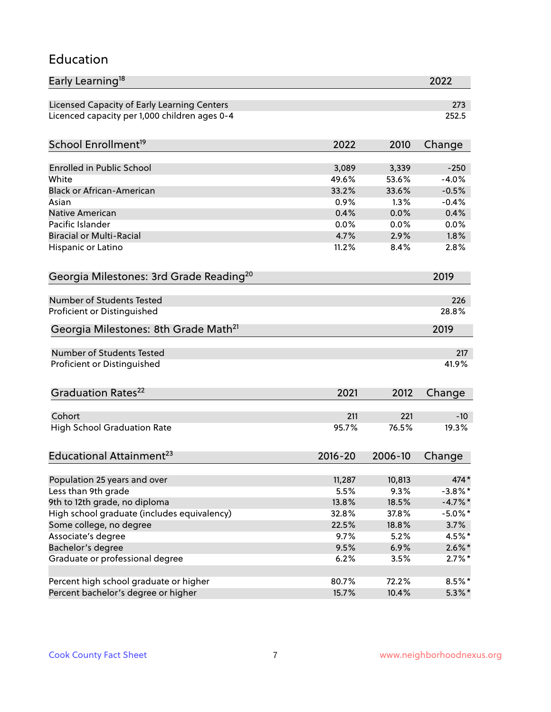#### Education

| Early Learning <sup>18</sup>                        |             |         | 2022         |
|-----------------------------------------------------|-------------|---------|--------------|
| Licensed Capacity of Early Learning Centers         |             |         | 273          |
| Licenced capacity per 1,000 children ages 0-4       |             |         | 252.5        |
| School Enrollment <sup>19</sup>                     | 2022        | 2010    | Change       |
|                                                     |             |         |              |
| <b>Enrolled in Public School</b>                    | 3,089       | 3,339   | $-250$       |
| White                                               | 49.6%       | 53.6%   | $-4.0%$      |
| <b>Black or African-American</b>                    | 33.2%       | 33.6%   | $-0.5%$      |
| Asian                                               | 0.9%        | 1.3%    | $-0.4%$      |
| <b>Native American</b>                              | 0.4%        | 0.0%    | 0.4%         |
| Pacific Islander                                    | 0.0%        | 0.0%    | 0.0%         |
| <b>Biracial or Multi-Racial</b>                     | 4.7%        | 2.9%    | 1.8%         |
| Hispanic or Latino                                  | 11.2%       | 8.4%    | 2.8%         |
| Georgia Milestones: 3rd Grade Reading <sup>20</sup> |             |         | 2019         |
| Number of Students Tested                           |             |         |              |
|                                                     |             |         | 226<br>28.8% |
| Proficient or Distinguished                         |             |         |              |
| Georgia Milestones: 8th Grade Math <sup>21</sup>    |             |         | 2019         |
| Number of Students Tested                           |             |         | 217          |
| Proficient or Distinguished                         |             |         | 41.9%        |
| Graduation Rates <sup>22</sup>                      | 2021        | 2012    | Change       |
|                                                     |             |         |              |
| Cohort                                              | 211         | 221     | $-10$        |
| <b>High School Graduation Rate</b>                  | 95.7%       | 76.5%   | 19.3%        |
| Educational Attainment <sup>23</sup>                | $2016 - 20$ | 2006-10 | Change       |
| Population 25 years and over                        | 11,287      | 10,813  | 474*         |
| Less than 9th grade                                 | 5.5%        | 9.3%    | $-3.8\%$ *   |
| 9th to 12th grade, no diploma                       | 13.8%       | 18.5%   | $-4.7\%$ *   |
| High school graduate (includes equivalency)         | 32.8%       | 37.8%   | $-5.0\%$ *   |
| Some college, no degree                             | 22.5%       | 18.8%   | 3.7%         |
| Associate's degree                                  | 9.7%        | 5.2%    | 4.5%*        |
| Bachelor's degree                                   | 9.5%        | 6.9%    |              |
|                                                     |             |         | $2.6\%$ *    |
| Graduate or professional degree                     | 6.2%        | 3.5%    | $2.7\%$ *    |
| Percent high school graduate or higher              | 80.7%       | 72.2%   | $8.5\%$ *    |
| Percent bachelor's degree or higher                 | 15.7%       | 10.4%   | $5.3\%$ *    |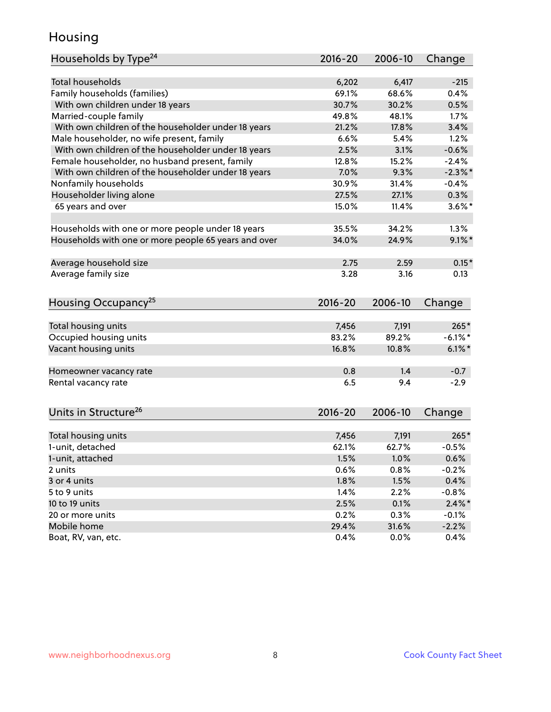### Housing

| Total households<br>6,202<br>$-215$<br>6,417<br>Family households (families)<br>69.1%<br>68.6%<br>0.4%<br>With own children under 18 years<br>30.7%<br>30.2%<br>0.5%<br>Married-couple family<br>1.7%<br>49.8%<br>48.1%<br>With own children of the householder under 18 years<br>21.2%<br>17.8%<br>3.4%<br>Male householder, no wife present, family<br>6.6%<br>5.4%<br>1.2%<br>With own children of the householder under 18 years<br>2.5%<br>3.1%<br>$-0.6%$<br>Female householder, no husband present, family<br>12.8%<br>15.2%<br>$-2.4%$<br>With own children of the householder under 18 years<br>7.0%<br>$-2.3\%$ *<br>9.3%<br>Nonfamily households<br>30.9%<br>31.4%<br>$-0.4%$<br>Householder living alone<br>27.5%<br>0.3%<br>27.1%<br>65 years and over<br>15.0%<br>$3.6\%$ *<br>11.4%<br>34.2%<br>1.3%<br>Households with one or more people under 18 years<br>35.5%<br>Households with one or more people 65 years and over<br>34.0%<br>24.9%<br>$9.1\%$ *<br>$0.15*$<br>Average household size<br>2.75<br>2.59<br>Average family size<br>3.28<br>3.16<br>0.13<br>Housing Occupancy <sup>25</sup><br>$2016 - 20$<br>2006-10<br>Change<br>Total housing units<br>7,456<br>7,191<br>$265*$<br>Occupied housing units<br>83.2%<br>89.2%<br>$-6.1\%$ *<br>Vacant housing units<br>$6.1\%$ *<br>16.8%<br>10.8%<br>0.8<br>1.4<br>$-0.7$<br>Homeowner vacancy rate<br>6.5<br>9.4<br>$-2.9$<br>Rental vacancy rate<br>Units in Structure <sup>26</sup><br>2016-20<br>2006-10<br>Change<br>Total housing units<br>7,456<br>7,191<br>$265*$<br>1-unit, detached<br>62.1%<br>62.7%<br>$-0.5%$<br>1-unit, attached<br>1.5%<br>1.0%<br>0.6%<br>0.6%<br>0.8%<br>$-0.2%$<br>2 units<br>0.4%<br>3 or 4 units<br>1.8%<br>1.5%<br>1.4%<br>2.2%<br>$-0.8%$<br>5 to 9 units<br>2.5%<br>$2.4\%$ *<br>0.1%<br>10 to 19 units<br>0.2%<br>0.3%<br>20 or more units<br>$-0.1%$<br>Mobile home<br>29.4%<br>31.6%<br>$-2.2%$ | Households by Type <sup>24</sup> | 2016-20 | 2006-10 | Change |
|-----------------------------------------------------------------------------------------------------------------------------------------------------------------------------------------------------------------------------------------------------------------------------------------------------------------------------------------------------------------------------------------------------------------------------------------------------------------------------------------------------------------------------------------------------------------------------------------------------------------------------------------------------------------------------------------------------------------------------------------------------------------------------------------------------------------------------------------------------------------------------------------------------------------------------------------------------------------------------------------------------------------------------------------------------------------------------------------------------------------------------------------------------------------------------------------------------------------------------------------------------------------------------------------------------------------------------------------------------------------------------------------------------------------------------------------------------------------------------------------------------------------------------------------------------------------------------------------------------------------------------------------------------------------------------------------------------------------------------------------------------------------------------------------------------------------------------------------------------------------------------------------------------------------|----------------------------------|---------|---------|--------|
|                                                                                                                                                                                                                                                                                                                                                                                                                                                                                                                                                                                                                                                                                                                                                                                                                                                                                                                                                                                                                                                                                                                                                                                                                                                                                                                                                                                                                                                                                                                                                                                                                                                                                                                                                                                                                                                                                                                 |                                  |         |         |        |
|                                                                                                                                                                                                                                                                                                                                                                                                                                                                                                                                                                                                                                                                                                                                                                                                                                                                                                                                                                                                                                                                                                                                                                                                                                                                                                                                                                                                                                                                                                                                                                                                                                                                                                                                                                                                                                                                                                                 |                                  |         |         |        |
|                                                                                                                                                                                                                                                                                                                                                                                                                                                                                                                                                                                                                                                                                                                                                                                                                                                                                                                                                                                                                                                                                                                                                                                                                                                                                                                                                                                                                                                                                                                                                                                                                                                                                                                                                                                                                                                                                                                 |                                  |         |         |        |
|                                                                                                                                                                                                                                                                                                                                                                                                                                                                                                                                                                                                                                                                                                                                                                                                                                                                                                                                                                                                                                                                                                                                                                                                                                                                                                                                                                                                                                                                                                                                                                                                                                                                                                                                                                                                                                                                                                                 |                                  |         |         |        |
|                                                                                                                                                                                                                                                                                                                                                                                                                                                                                                                                                                                                                                                                                                                                                                                                                                                                                                                                                                                                                                                                                                                                                                                                                                                                                                                                                                                                                                                                                                                                                                                                                                                                                                                                                                                                                                                                                                                 |                                  |         |         |        |
|                                                                                                                                                                                                                                                                                                                                                                                                                                                                                                                                                                                                                                                                                                                                                                                                                                                                                                                                                                                                                                                                                                                                                                                                                                                                                                                                                                                                                                                                                                                                                                                                                                                                                                                                                                                                                                                                                                                 |                                  |         |         |        |
|                                                                                                                                                                                                                                                                                                                                                                                                                                                                                                                                                                                                                                                                                                                                                                                                                                                                                                                                                                                                                                                                                                                                                                                                                                                                                                                                                                                                                                                                                                                                                                                                                                                                                                                                                                                                                                                                                                                 |                                  |         |         |        |
|                                                                                                                                                                                                                                                                                                                                                                                                                                                                                                                                                                                                                                                                                                                                                                                                                                                                                                                                                                                                                                                                                                                                                                                                                                                                                                                                                                                                                                                                                                                                                                                                                                                                                                                                                                                                                                                                                                                 |                                  |         |         |        |
|                                                                                                                                                                                                                                                                                                                                                                                                                                                                                                                                                                                                                                                                                                                                                                                                                                                                                                                                                                                                                                                                                                                                                                                                                                                                                                                                                                                                                                                                                                                                                                                                                                                                                                                                                                                                                                                                                                                 |                                  |         |         |        |
|                                                                                                                                                                                                                                                                                                                                                                                                                                                                                                                                                                                                                                                                                                                                                                                                                                                                                                                                                                                                                                                                                                                                                                                                                                                                                                                                                                                                                                                                                                                                                                                                                                                                                                                                                                                                                                                                                                                 |                                  |         |         |        |
|                                                                                                                                                                                                                                                                                                                                                                                                                                                                                                                                                                                                                                                                                                                                                                                                                                                                                                                                                                                                                                                                                                                                                                                                                                                                                                                                                                                                                                                                                                                                                                                                                                                                                                                                                                                                                                                                                                                 |                                  |         |         |        |
|                                                                                                                                                                                                                                                                                                                                                                                                                                                                                                                                                                                                                                                                                                                                                                                                                                                                                                                                                                                                                                                                                                                                                                                                                                                                                                                                                                                                                                                                                                                                                                                                                                                                                                                                                                                                                                                                                                                 |                                  |         |         |        |
|                                                                                                                                                                                                                                                                                                                                                                                                                                                                                                                                                                                                                                                                                                                                                                                                                                                                                                                                                                                                                                                                                                                                                                                                                                                                                                                                                                                                                                                                                                                                                                                                                                                                                                                                                                                                                                                                                                                 |                                  |         |         |        |
|                                                                                                                                                                                                                                                                                                                                                                                                                                                                                                                                                                                                                                                                                                                                                                                                                                                                                                                                                                                                                                                                                                                                                                                                                                                                                                                                                                                                                                                                                                                                                                                                                                                                                                                                                                                                                                                                                                                 |                                  |         |         |        |
|                                                                                                                                                                                                                                                                                                                                                                                                                                                                                                                                                                                                                                                                                                                                                                                                                                                                                                                                                                                                                                                                                                                                                                                                                                                                                                                                                                                                                                                                                                                                                                                                                                                                                                                                                                                                                                                                                                                 |                                  |         |         |        |
|                                                                                                                                                                                                                                                                                                                                                                                                                                                                                                                                                                                                                                                                                                                                                                                                                                                                                                                                                                                                                                                                                                                                                                                                                                                                                                                                                                                                                                                                                                                                                                                                                                                                                                                                                                                                                                                                                                                 |                                  |         |         |        |
|                                                                                                                                                                                                                                                                                                                                                                                                                                                                                                                                                                                                                                                                                                                                                                                                                                                                                                                                                                                                                                                                                                                                                                                                                                                                                                                                                                                                                                                                                                                                                                                                                                                                                                                                                                                                                                                                                                                 |                                  |         |         |        |
|                                                                                                                                                                                                                                                                                                                                                                                                                                                                                                                                                                                                                                                                                                                                                                                                                                                                                                                                                                                                                                                                                                                                                                                                                                                                                                                                                                                                                                                                                                                                                                                                                                                                                                                                                                                                                                                                                                                 |                                  |         |         |        |
|                                                                                                                                                                                                                                                                                                                                                                                                                                                                                                                                                                                                                                                                                                                                                                                                                                                                                                                                                                                                                                                                                                                                                                                                                                                                                                                                                                                                                                                                                                                                                                                                                                                                                                                                                                                                                                                                                                                 |                                  |         |         |        |
|                                                                                                                                                                                                                                                                                                                                                                                                                                                                                                                                                                                                                                                                                                                                                                                                                                                                                                                                                                                                                                                                                                                                                                                                                                                                                                                                                                                                                                                                                                                                                                                                                                                                                                                                                                                                                                                                                                                 |                                  |         |         |        |
|                                                                                                                                                                                                                                                                                                                                                                                                                                                                                                                                                                                                                                                                                                                                                                                                                                                                                                                                                                                                                                                                                                                                                                                                                                                                                                                                                                                                                                                                                                                                                                                                                                                                                                                                                                                                                                                                                                                 |                                  |         |         |        |
|                                                                                                                                                                                                                                                                                                                                                                                                                                                                                                                                                                                                                                                                                                                                                                                                                                                                                                                                                                                                                                                                                                                                                                                                                                                                                                                                                                                                                                                                                                                                                                                                                                                                                                                                                                                                                                                                                                                 |                                  |         |         |        |
|                                                                                                                                                                                                                                                                                                                                                                                                                                                                                                                                                                                                                                                                                                                                                                                                                                                                                                                                                                                                                                                                                                                                                                                                                                                                                                                                                                                                                                                                                                                                                                                                                                                                                                                                                                                                                                                                                                                 |                                  |         |         |        |
|                                                                                                                                                                                                                                                                                                                                                                                                                                                                                                                                                                                                                                                                                                                                                                                                                                                                                                                                                                                                                                                                                                                                                                                                                                                                                                                                                                                                                                                                                                                                                                                                                                                                                                                                                                                                                                                                                                                 |                                  |         |         |        |
|                                                                                                                                                                                                                                                                                                                                                                                                                                                                                                                                                                                                                                                                                                                                                                                                                                                                                                                                                                                                                                                                                                                                                                                                                                                                                                                                                                                                                                                                                                                                                                                                                                                                                                                                                                                                                                                                                                                 |                                  |         |         |        |
|                                                                                                                                                                                                                                                                                                                                                                                                                                                                                                                                                                                                                                                                                                                                                                                                                                                                                                                                                                                                                                                                                                                                                                                                                                                                                                                                                                                                                                                                                                                                                                                                                                                                                                                                                                                                                                                                                                                 |                                  |         |         |        |
|                                                                                                                                                                                                                                                                                                                                                                                                                                                                                                                                                                                                                                                                                                                                                                                                                                                                                                                                                                                                                                                                                                                                                                                                                                                                                                                                                                                                                                                                                                                                                                                                                                                                                                                                                                                                                                                                                                                 |                                  |         |         |        |
|                                                                                                                                                                                                                                                                                                                                                                                                                                                                                                                                                                                                                                                                                                                                                                                                                                                                                                                                                                                                                                                                                                                                                                                                                                                                                                                                                                                                                                                                                                                                                                                                                                                                                                                                                                                                                                                                                                                 |                                  |         |         |        |
|                                                                                                                                                                                                                                                                                                                                                                                                                                                                                                                                                                                                                                                                                                                                                                                                                                                                                                                                                                                                                                                                                                                                                                                                                                                                                                                                                                                                                                                                                                                                                                                                                                                                                                                                                                                                                                                                                                                 |                                  |         |         |        |
|                                                                                                                                                                                                                                                                                                                                                                                                                                                                                                                                                                                                                                                                                                                                                                                                                                                                                                                                                                                                                                                                                                                                                                                                                                                                                                                                                                                                                                                                                                                                                                                                                                                                                                                                                                                                                                                                                                                 |                                  |         |         |        |
|                                                                                                                                                                                                                                                                                                                                                                                                                                                                                                                                                                                                                                                                                                                                                                                                                                                                                                                                                                                                                                                                                                                                                                                                                                                                                                                                                                                                                                                                                                                                                                                                                                                                                                                                                                                                                                                                                                                 |                                  |         |         |        |
|                                                                                                                                                                                                                                                                                                                                                                                                                                                                                                                                                                                                                                                                                                                                                                                                                                                                                                                                                                                                                                                                                                                                                                                                                                                                                                                                                                                                                                                                                                                                                                                                                                                                                                                                                                                                                                                                                                                 |                                  |         |         |        |
|                                                                                                                                                                                                                                                                                                                                                                                                                                                                                                                                                                                                                                                                                                                                                                                                                                                                                                                                                                                                                                                                                                                                                                                                                                                                                                                                                                                                                                                                                                                                                                                                                                                                                                                                                                                                                                                                                                                 |                                  |         |         |        |
|                                                                                                                                                                                                                                                                                                                                                                                                                                                                                                                                                                                                                                                                                                                                                                                                                                                                                                                                                                                                                                                                                                                                                                                                                                                                                                                                                                                                                                                                                                                                                                                                                                                                                                                                                                                                                                                                                                                 |                                  |         |         |        |
|                                                                                                                                                                                                                                                                                                                                                                                                                                                                                                                                                                                                                                                                                                                                                                                                                                                                                                                                                                                                                                                                                                                                                                                                                                                                                                                                                                                                                                                                                                                                                                                                                                                                                                                                                                                                                                                                                                                 |                                  |         |         |        |
|                                                                                                                                                                                                                                                                                                                                                                                                                                                                                                                                                                                                                                                                                                                                                                                                                                                                                                                                                                                                                                                                                                                                                                                                                                                                                                                                                                                                                                                                                                                                                                                                                                                                                                                                                                                                                                                                                                                 | Boat, RV, van, etc.              | 0.4%    | 0.0%    | 0.4%   |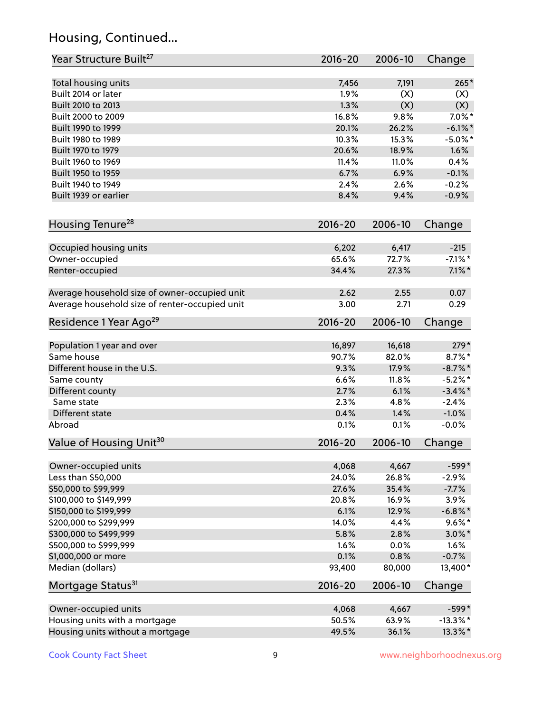# Housing, Continued...

| Year Structure Built <sup>27</sup>             | 2016-20     | 2006-10 | Change      |
|------------------------------------------------|-------------|---------|-------------|
| Total housing units                            | 7,456       | 7,191   | $265*$      |
| Built 2014 or later                            | 1.9%        | (X)     | (X)         |
| Built 2010 to 2013                             | 1.3%        | (X)     | (X)         |
| Built 2000 to 2009                             | 16.8%       | 9.8%    | $7.0\%$ *   |
| Built 1990 to 1999                             | 20.1%       | 26.2%   | $-6.1\%$ *  |
| Built 1980 to 1989                             | 10.3%       | 15.3%   | $-5.0\%$ *  |
| Built 1970 to 1979                             | 20.6%       | 18.9%   | 1.6%        |
| Built 1960 to 1969                             | 11.4%       | 11.0%   | 0.4%        |
| Built 1950 to 1959                             | 6.7%        | 6.9%    | $-0.1%$     |
| Built 1940 to 1949                             | 2.4%        | 2.6%    | $-0.2%$     |
| Built 1939 or earlier                          | 8.4%        | 9.4%    | $-0.9%$     |
| Housing Tenure <sup>28</sup>                   | $2016 - 20$ | 2006-10 | Change      |
|                                                |             |         |             |
| Occupied housing units                         | 6,202       | 6,417   | $-215$      |
| Owner-occupied                                 | 65.6%       | 72.7%   | $-7.1\%$ *  |
| Renter-occupied                                | 34.4%       | 27.3%   | $7.1\%$ *   |
| Average household size of owner-occupied unit  | 2.62        | 2.55    | 0.07        |
| Average household size of renter-occupied unit | 3.00        | 2.71    | 0.29        |
| Residence 1 Year Ago <sup>29</sup>             | $2016 - 20$ | 2006-10 | Change      |
| Population 1 year and over                     | 16,897      | 16,618  | $279*$      |
| Same house                                     | 90.7%       | 82.0%   | $8.7\%$ *   |
| Different house in the U.S.                    | 9.3%        | 17.9%   | $-8.7\%$ *  |
| Same county                                    | 6.6%        | 11.8%   | $-5.2%$ *   |
| Different county                               | 2.7%        | 6.1%    | $-3.4\%$ *  |
| Same state                                     | 2.3%        | 4.8%    | $-2.4%$     |
| Different state                                | 0.4%        | 1.4%    | $-1.0%$     |
| Abroad                                         | 0.1%        | 0.1%    | $-0.0%$     |
| Value of Housing Unit <sup>30</sup>            | $2016 - 20$ | 2006-10 | Change      |
|                                                | 4,068       | 4,667   | $-599*$     |
| Owner-occupied units<br>Less than \$50,000     | 24.0%       | 26.8%   | $-2.9%$     |
| \$50,000 to \$99,999                           | 27.6%       | 35.4%   | $-7.7%$     |
| \$100,000 to \$149,999                         | 20.8%       | 16.9%   | 3.9%        |
| \$150,000 to \$199,999                         | 6.1%        | 12.9%   | $-6.8\%$ *  |
| \$200,000 to \$299,999                         | 14.0%       | 4.4%    | $9.6\%$ *   |
| \$300,000 to \$499,999                         | 5.8%        | 2.8%    | $3.0\%$ *   |
| \$500,000 to \$999,999                         | 1.6%        | 0.0%    | 1.6%        |
| \$1,000,000 or more                            | 0.1%        | 0.8%    | $-0.7%$     |
| Median (dollars)                               | 93,400      | 80,000  | 13,400*     |
| Mortgage Status <sup>31</sup>                  | $2016 - 20$ | 2006-10 | Change      |
|                                                |             |         |             |
| Owner-occupied units                           | 4,068       | 4,667   | $-599*$     |
| Housing units with a mortgage                  | 50.5%       | 63.9%   | $-13.3\%$ * |
| Housing units without a mortgage               | 49.5%       | 36.1%   | 13.3%*      |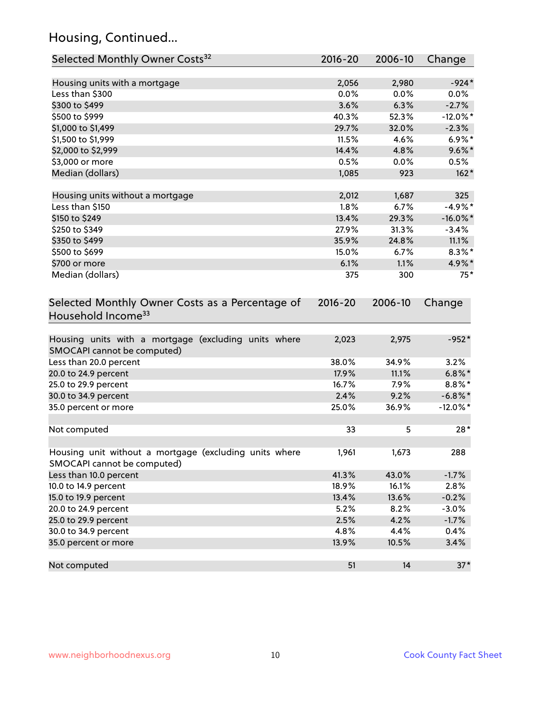# Housing, Continued...

| Selected Monthly Owner Costs <sup>32</sup>                                            | $2016 - 20$ | 2006-10 | Change      |
|---------------------------------------------------------------------------------------|-------------|---------|-------------|
| Housing units with a mortgage                                                         | 2,056       | 2,980   | $-924*$     |
| Less than \$300                                                                       | 0.0%        | 0.0%    | $0.0\%$     |
| \$300 to \$499                                                                        | 3.6%        | 6.3%    | $-2.7%$     |
| \$500 to \$999                                                                        | 40.3%       | 52.3%   | $-12.0\%$ * |
| \$1,000 to \$1,499                                                                    | 29.7%       | 32.0%   | $-2.3%$     |
| \$1,500 to \$1,999                                                                    | 11.5%       | 4.6%    | $6.9\%*$    |
| \$2,000 to \$2,999                                                                    | 14.4%       | 4.8%    | $9.6\%$ *   |
| \$3,000 or more                                                                       | 0.5%        | 0.0%    | 0.5%        |
| Median (dollars)                                                                      | 1,085       | 923     | $162*$      |
| Housing units without a mortgage                                                      | 2,012       | 1,687   | 325         |
| Less than \$150                                                                       | 1.8%        | 6.7%    | $-4.9%$ *   |
| \$150 to \$249                                                                        | 13.4%       | 29.3%   | $-16.0\%$ * |
| \$250 to \$349                                                                        | 27.9%       | 31.3%   | $-3.4%$     |
| \$350 to \$499                                                                        | 35.9%       | 24.8%   | 11.1%       |
| \$500 to \$699                                                                        | 15.0%       | 6.7%    | $8.3\%$ *   |
| \$700 or more                                                                         | 6.1%        | 1.1%    | 4.9%*       |
| Median (dollars)                                                                      | 375         | 300     | $75*$       |
| Selected Monthly Owner Costs as a Percentage of<br>Household Income <sup>33</sup>     | $2016 - 20$ | 2006-10 | Change      |
| Housing units with a mortgage (excluding units where<br>SMOCAPI cannot be computed)   | 2,023       | 2,975   | $-952*$     |
| Less than 20.0 percent                                                                | 38.0%       | 34.9%   | 3.2%        |
| 20.0 to 24.9 percent                                                                  | 17.9%       | 11.1%   | $6.8\%$ *   |
| 25.0 to 29.9 percent                                                                  | 16.7%       | 7.9%    | $8.8\%$ *   |
| 30.0 to 34.9 percent                                                                  | 2.4%        | 9.2%    | $-6.8\%$ *  |
| 35.0 percent or more                                                                  | 25.0%       | 36.9%   | $-12.0\%$ * |
| Not computed                                                                          | 33          | 5       | $28*$       |
| Housing unit without a mortgage (excluding units where<br>SMOCAPI cannot be computed) | 1,961       | 1,673   | 288         |
| Less than 10.0 percent                                                                | 41.3%       | 43.0%   | $-1.7%$     |
| 10.0 to 14.9 percent                                                                  | 18.9%       | 16.1%   | 2.8%        |
| 15.0 to 19.9 percent                                                                  | 13.4%       | 13.6%   | $-0.2%$     |
| 20.0 to 24.9 percent                                                                  | 5.2%        | 8.2%    | $-3.0%$     |
| 25.0 to 29.9 percent                                                                  | 2.5%        | 4.2%    | $-1.7%$     |
| 30.0 to 34.9 percent                                                                  | 4.8%        | 4.4%    | 0.4%        |
| 35.0 percent or more                                                                  | 13.9%       | 10.5%   | 3.4%        |
| Not computed                                                                          | 51          | 14      | $37*$       |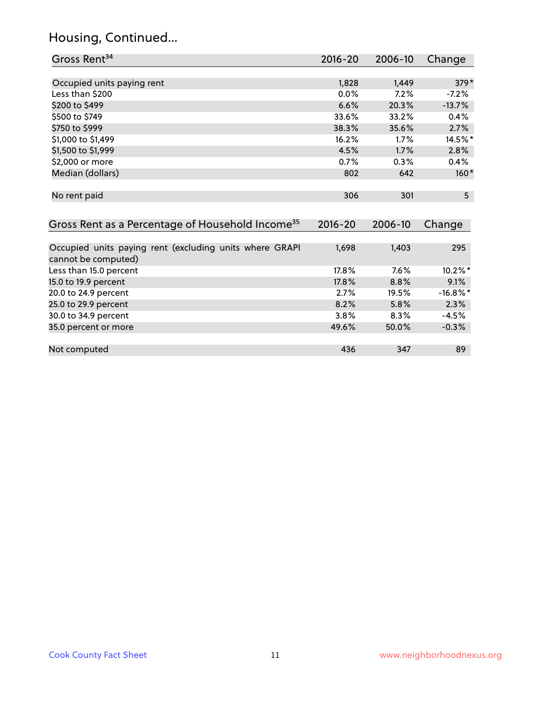#### Housing, Continued...

| Gross Rent <sup>34</sup>                                                       | 2016-20 | 2006-10 | Change      |
|--------------------------------------------------------------------------------|---------|---------|-------------|
| Occupied units paying rent                                                     | 1,828   | 1,449   | $379*$      |
| Less than \$200                                                                | 0.0%    | 7.2%    | $-7.2\%$    |
|                                                                                |         |         |             |
| \$200 to \$499                                                                 | 6.6%    | 20.3%   | $-13.7%$    |
| \$500 to \$749                                                                 | 33.6%   | 33.2%   | 0.4%        |
| \$750 to \$999                                                                 | 38.3%   | 35.6%   | 2.7%        |
| \$1,000 to \$1,499                                                             | 16.2%   | 1.7%    | 14.5%*      |
| \$1,500 to \$1,999                                                             | 4.5%    | 1.7%    | 2.8%        |
| \$2,000 or more                                                                | 0.7%    | $0.3\%$ | 0.4%        |
| Median (dollars)                                                               | 802     | 642     | $160*$      |
| No rent paid                                                                   | 306     | 301     | 5           |
| Gross Rent as a Percentage of Household Income <sup>35</sup>                   | 2016-20 | 2006-10 | Change      |
|                                                                                |         |         |             |
| Occupied units paying rent (excluding units where GRAPI<br>cannot be computed) | 1,698   | 1,403   | 295         |
| Less than 15.0 percent                                                         | 17.8%   | 7.6%    | $10.2\%$ *  |
| 15.0 to 19.9 percent                                                           | 17.8%   | 8.8%    | 9.1%        |
| 20.0 to 24.9 percent                                                           | 2.7%    | 19.5%   | $-16.8\%$ * |
| 25.0 to 29.9 percent                                                           | 8.2%    | 5.8%    | 2.3%        |

30.0 to 34.9 percent 3.8% 8.3% -4.5% 8.3% -4.5% 8.0 percent 3.8% and 3.8% set al. 1.5% 3.8% 3.8% set al. 1.5% <br>35.0 percent or more 3.5% 3.8% 3.8% 3.8% 3.8% 3.8% 3.8% 3.9% 3.8% 3.9% 3.8% 3.9% 3.9% 3.9% 3.9% 3.9% 3.9% 3.9%

Not computed and the set of the set of the set of the set of the set of the set of the set of the set of the set of the set of the set of the set of the set of the set of the set of the set of the set of the set of the set

35.0 percent or more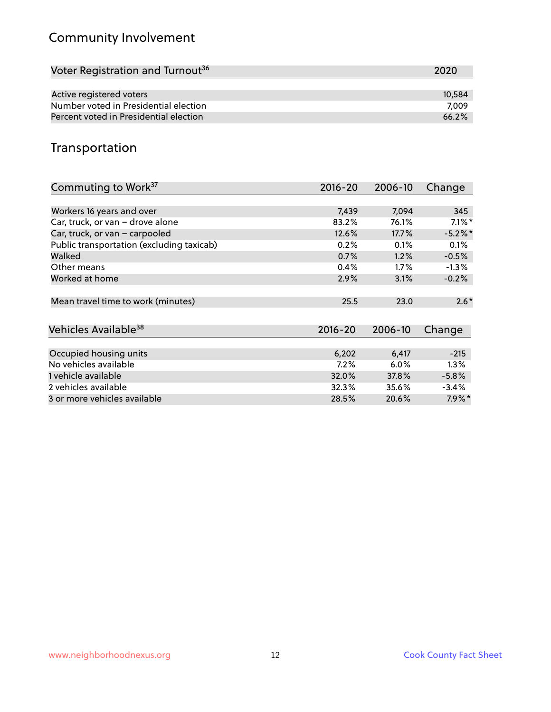# Community Involvement

| Voter Registration and Turnout <sup>36</sup> | 2020   |
|----------------------------------------------|--------|
|                                              |        |
| Active registered voters                     | 10.584 |
| Number voted in Presidential election        | 7.009  |
| Percent voted in Presidential election       | 66.2%  |

## Transportation

| Commuting to Work <sup>37</sup>           | 2016-20     | 2006-10 | Change    |
|-------------------------------------------|-------------|---------|-----------|
|                                           |             |         |           |
| Workers 16 years and over                 | 7,439       | 7,094   | 345       |
| Car, truck, or van - drove alone          | 83.2%       | 76.1%   | $7.1\%$ * |
| Car, truck, or van - carpooled            | 12.6%       | 17.7%   | $-5.2%$ * |
| Public transportation (excluding taxicab) | 0.2%        | 0.1%    | 0.1%      |
| Walked                                    | 0.7%        | 1.2%    | $-0.5%$   |
| Other means                               | 0.4%        | $1.7\%$ | $-1.3%$   |
| Worked at home                            | 2.9%        | 3.1%    | $-0.2%$   |
| Mean travel time to work (minutes)        | 25.5        | 23.0    | $2.6*$    |
| Vehicles Available <sup>38</sup>          | $2016 - 20$ | 2006-10 | Change    |
|                                           |             |         |           |
| Occupied housing units                    | 6,202       | 6,417   | $-215$    |
| No vehicles available                     | 7.2%        | 6.0%    | $1.3\%$   |
| 1 vehicle available                       | 32.0%       | 37.8%   | $-5.8%$   |
| 2 vehicles available                      | 32.3%       | 35.6%   | $-3.4%$   |
| 3 or more vehicles available              | 28.5%       | 20.6%   | $7.9\%$ * |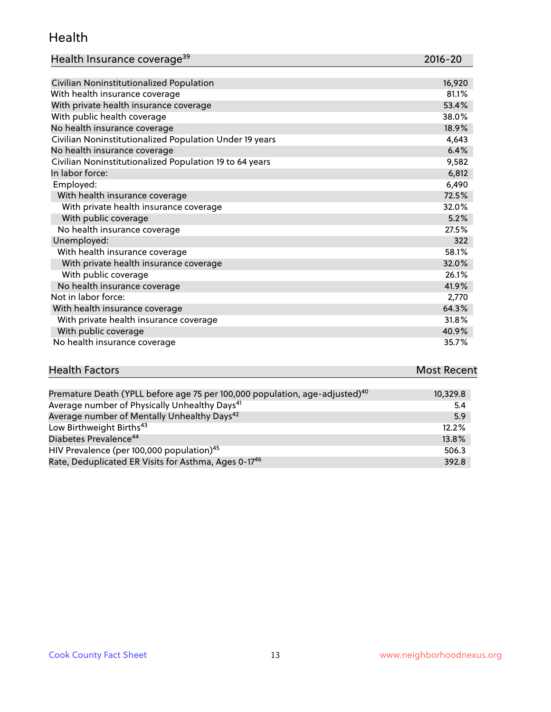#### Health

| Health Insurance coverage <sup>39</sup> | 2016-20 |
|-----------------------------------------|---------|
|-----------------------------------------|---------|

| Civilian Noninstitutionalized Population                | 16,920 |
|---------------------------------------------------------|--------|
| With health insurance coverage                          | 81.1%  |
| With private health insurance coverage                  | 53.4%  |
| With public health coverage                             | 38.0%  |
| No health insurance coverage                            | 18.9%  |
| Civilian Noninstitutionalized Population Under 19 years | 4,643  |
| No health insurance coverage                            | 6.4%   |
| Civilian Noninstitutionalized Population 19 to 64 years | 9,582  |
| In labor force:                                         | 6,812  |
| Employed:                                               | 6,490  |
| With health insurance coverage                          | 72.5%  |
| With private health insurance coverage                  | 32.0%  |
| With public coverage                                    | 5.2%   |
| No health insurance coverage                            | 27.5%  |
| Unemployed:                                             | 322    |
| With health insurance coverage                          | 58.1%  |
| With private health insurance coverage                  | 32.0%  |
| With public coverage                                    | 26.1%  |
| No health insurance coverage                            | 41.9%  |
| Not in labor force:                                     | 2,770  |
| With health insurance coverage                          | 64.3%  |
| With private health insurance coverage                  | 31.8%  |
| With public coverage                                    | 40.9%  |
| No health insurance coverage                            | 35.7%  |

| <b>Health Factors</b> | <b>Most Recent</b> |
|-----------------------|--------------------|
|                       |                    |

| Premature Death (YPLL before age 75 per 100,000 population, age-adjusted) <sup>40</sup> | 10,329.8 |
|-----------------------------------------------------------------------------------------|----------|
| Average number of Physically Unhealthy Days <sup>41</sup>                               | 5.4      |
| Average number of Mentally Unhealthy Days <sup>42</sup>                                 | 5.9      |
| Low Birthweight Births <sup>43</sup>                                                    | 12.2%    |
| Diabetes Prevalence <sup>44</sup>                                                       | 13.8%    |
| HIV Prevalence (per 100,000 population) <sup>45</sup>                                   | 506.3    |
| Rate, Deduplicated ER Visits for Asthma, Ages 0-17 <sup>46</sup>                        | 392.8    |